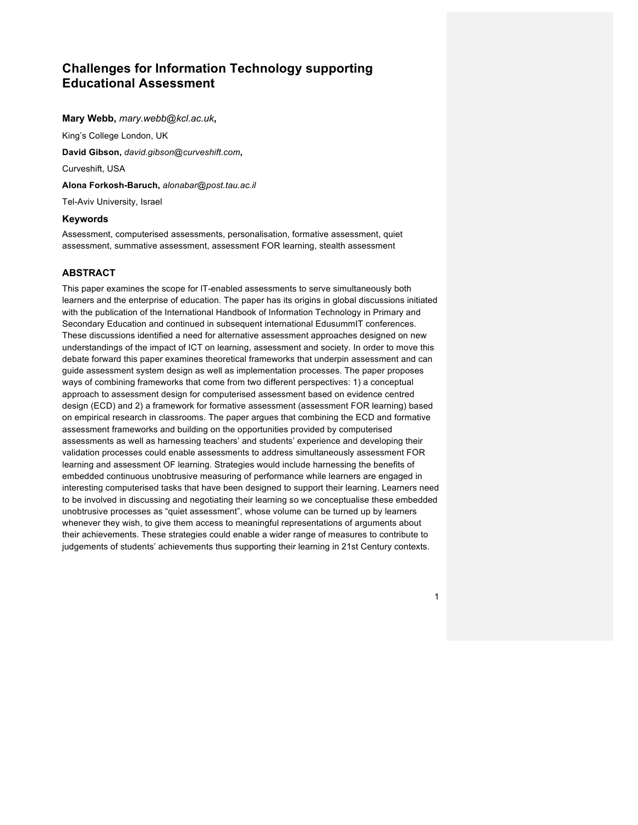# **Challenges for Information Technology supporting Educational Assessment**

**Mary Webb,** *mary.webb@kcl.ac.uk***,** 

King's College London, UK

**David Gibson,** *david.gibson@curveshift.com***,** 

Curveshift, USA

**Alona Forkosh-Baruch,** *alonabar@post.tau.ac.il*

Tel-Aviv University, Israel

#### **Keywords**

Assessment, computerised assessments, personalisation, formative assessment, quiet assessment, summative assessment, assessment FOR learning, stealth assessment

# **ABSTRACT**

This paper examines the scope for lT-enabled assessments to serve simultaneously both learners and the enterprise of education. The paper has its origins in global discussions initiated with the publication of the International Handbook of Information Technology in Primary and Secondary Education and continued in subsequent international EdusummIT conferences. These discussions identified a need for alternative assessment approaches designed on new understandings of the impact of ICT on learning, assessment and society. In order to move this debate forward this paper examines theoretical frameworks that underpin assessment and can guide assessment system design as well as implementation processes. The paper proposes ways of combining frameworks that come from two different perspectives: 1) a conceptual approach to assessment design for computerised assessment based on evidence centred design (ECD) and 2) a framework for formative assessment (assessment FOR learning) based on empirical research in classrooms. The paper argues that combining the ECD and formative assessment frameworks and building on the opportunities provided by computerised assessments as well as harnessing teachers' and students' experience and developing their validation processes could enable assessments to address simultaneously assessment FOR learning and assessment OF learning. Strategies would include harnessing the benefits of embedded continuous unobtrusive measuring of performance while learners are engaged in interesting computerised tasks that have been designed to support their learning. Learners need to be involved in discussing and negotiating their learning so we conceptualise these embedded unobtrusive processes as "quiet assessment", whose volume can be turned up by learners whenever they wish, to give them access to meaningful representations of arguments about their achievements. These strategies could enable a wider range of measures to contribute to judgements of students' achievements thus supporting their learning in 21st Century contexts.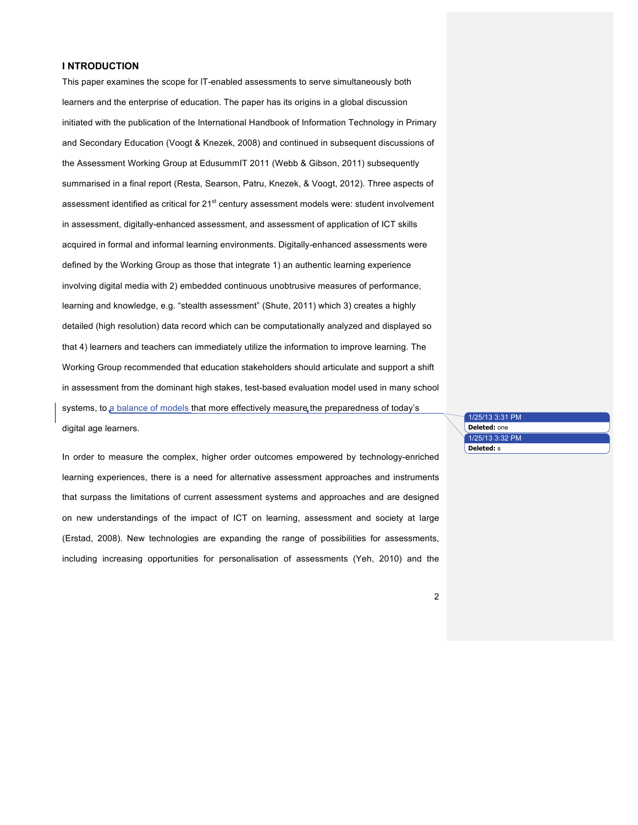#### **I NTRODUCTION**

This paper examines the scope for lT-enabled assessments to serve simultaneously both learners and the enterprise of education. The paper has its origins in a global discussion initiated with the publication of the International Handbook of Information Technology in Primary and Secondary Education (Voogt & Knezek, 2008) and continued in subsequent discussions of the Assessment Working Group at EdusummIT 2011 (Webb & Gibson, 2011) subsequently summarised in a final report (Resta, Searson, Patru, Knezek, & Voogt, 2012). Three aspects of assessment identified as critical for  $21<sup>st</sup>$  century assessment models were: student involvement in assessment, digitally-enhanced assessment, and assessment of application of ICT skills acquired in formal and informal learning environments. Digitally-enhanced assessments were defined by the Working Group as those that integrate 1) an authentic learning experience involving digital media with 2) embedded continuous unobtrusive measures of performance, learning and knowledge, e.g. "stealth assessment" (Shute, 2011) which 3) creates a highly detailed (high resolution) data record which can be computationally analyzed and displayed so that 4) learners and teachers can immediately utilize the information to improve learning. The Working Group recommended that education stakeholders should articulate and support a shift in assessment from the dominant high stakes, test-based evaluation model used in many school systems, to a balance of models that more effectively measure the preparedness of today's digital age learners.

In order to measure the complex, higher order outcomes empowered by technology-enriched learning experiences, there is a need for alternative assessment approaches and instruments that surpass the limitations of current assessment systems and approaches and are designed on new understandings of the impact of ICT on learning, assessment and society at large (Erstad, 2008). New technologies are expanding the range of possibilities for assessments, including increasing opportunities for personalisation of assessments (Yeh, 2010) and the

|  | 1/25/13 3:31 PM     |
|--|---------------------|
|  | <b>Deleted:</b> one |
|  | 1/25/13 3:32 PM     |
|  | <b>Deleted:</b> s   |
|  |                     |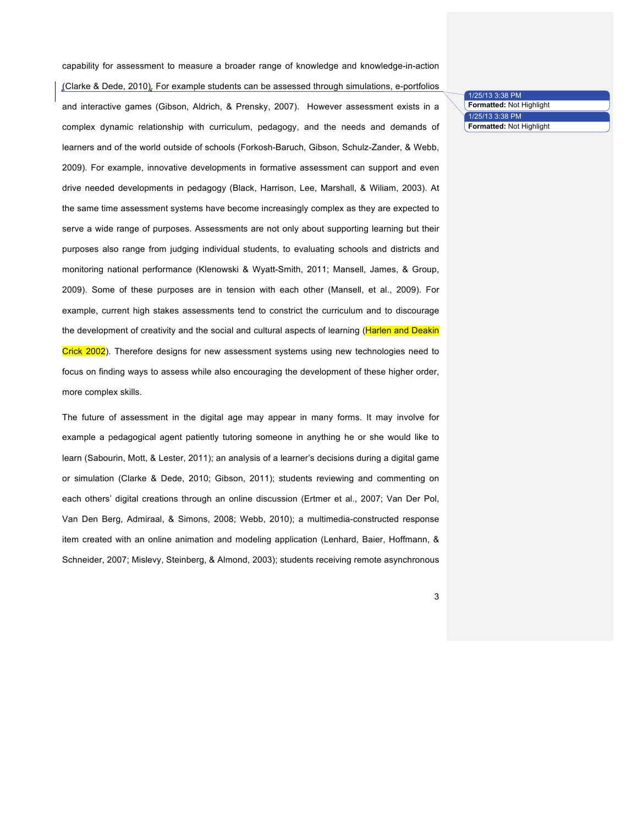(Clarke & Dede, 2010). For example students can be assessed through simulations, e-portfolios and interactive games (Gibson, Aldrich, & Prensky, 2007). However assessment exists in a complex dynamic relationship with curriculum, pedagogy, and the needs and demands of learners and of the world outside of schools (Forkosh-Baruch, Gibson, Schulz-Zander, & Webb, 2009). For example, innovative developments in formative assessment can support and even drive needed developments in pedagogy (Black, Harrison, Lee, Marshall, & Wiliam, 2003). At the same time assessment systems have become increasingly complex as they are expected to serve a wide range of purposes. Assessments are not only about supporting learning but their purposes also range from judging individual students, to evaluating schools and districts and monitoring national performance (Klenowski & Wyatt-Smith, 2011; Mansell, James, & Group, 2009). Some of these purposes are in tension with each other (Mansell, et al., 2009). For example, current high stakes assessments tend to constrict the curriculum and to discourage the development of creativity and the social and cultural aspects of learning (Harlen and Deakin Crick 2002). Therefore designs for new assessment systems using new technologies need to focus on finding ways to assess while also encouraging the development of these higher order, more complex skills.

capability for assessment to measure a broader range of knowledge and knowledge-in-action

The future of assessment in the digital age may appear in many forms. It may involve for example a pedagogical agent patiently tutoring someone in anything he or she would like to learn (Sabourin, Mott, & Lester, 2011); an analysis of a learner's decisions during a digital game or simulation (Clarke & Dede, 2010; Gibson, 2011); students reviewing and commenting on each others' digital creations through an online discussion (Ertmer et al., 2007; Van Der Pol, Van Den Berg, Admiraal, & Simons, 2008; Webb, 2010); a multimedia-constructed response item created with an online animation and modeling application (Lenhard, Baier, Hoffmann, & Schneider, 2007; Mislevy, Steinberg, & Almond, 2003); students receiving remote asynchronous

1/25/13 3:38 PM **Formatted:** Not Highlight 1/25/13 3:38 PM **Formatted:** Not Highlight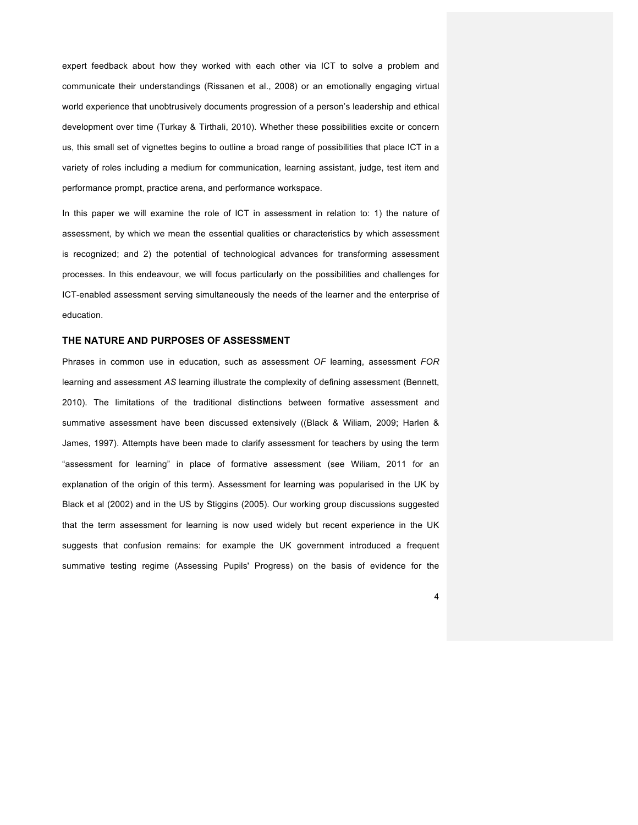expert feedback about how they worked with each other via ICT to solve a problem and communicate their understandings (Rissanen et al., 2008) or an emotionally engaging virtual world experience that unobtrusively documents progression of a person's leadership and ethical development over time (Turkay & Tirthali, 2010). Whether these possibilities excite or concern us, this small set of vignettes begins to outline a broad range of possibilities that place ICT in a variety of roles including a medium for communication, learning assistant, judge, test item and performance prompt, practice arena, and performance workspace.

In this paper we will examine the role of ICT in assessment in relation to: 1) the nature of assessment, by which we mean the essential qualities or characteristics by which assessment is recognized; and 2) the potential of technological advances for transforming assessment processes. In this endeavour, we will focus particularly on the possibilities and challenges for ICT-enabled assessment serving simultaneously the needs of the learner and the enterprise of education.

#### **THE NATURE AND PURPOSES OF ASSESSMENT**

Phrases in common use in education, such as assessment *OF* learning, assessment *FOR* learning and assessment *AS* learning illustrate the complexity of defining assessment (Bennett, 2010). The limitations of the traditional distinctions between formative assessment and summative assessment have been discussed extensively ((Black & Wiliam, 2009; Harlen & James, 1997). Attempts have been made to clarify assessment for teachers by using the term "assessment for learning" in place of formative assessment (see Wiliam, 2011 for an explanation of the origin of this term). Assessment for learning was popularised in the UK by Black et al (2002) and in the US by Stiggins (2005). Our working group discussions suggested that the term assessment for learning is now used widely but recent experience in the UK suggests that confusion remains: for example the UK government introduced a frequent summative testing regime (Assessing Pupils' Progress) on the basis of evidence for the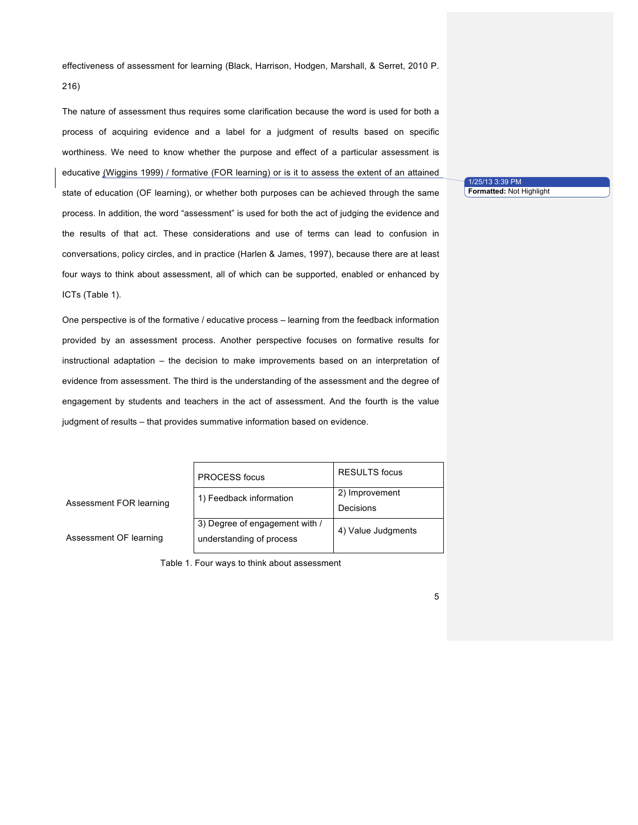effectiveness of assessment for learning (Black, Harrison, Hodgen, Marshall, & Serret, 2010 P. 216)

The nature of assessment thus requires some clarification because the word is used for both a process of acquiring evidence and a label for a judgment of results based on specific worthiness. We need to know whether the purpose and effect of a particular assessment is educative (Wiggins 1999) / formative (FOR learning) or is it to assess the extent of an attained state of education (OF learning), or whether both purposes can be achieved through the same process. In addition, the word "assessment" is used for both the act of judging the evidence and the results of that act. These considerations and use of terms can lead to confusion in conversations, policy circles, and in practice (Harlen & James, 1997), because there are at least four ways to think about assessment, all of which can be supported, enabled or enhanced by ICTs (Table 1).

One perspective is of the formative / educative process – learning from the feedback information provided by an assessment process. Another perspective focuses on formative results for instructional adaptation – the decision to make improvements based on an interpretation of evidence from assessment. The third is the understanding of the assessment and the degree of engagement by students and teachers in the act of assessment. And the fourth is the value judgment of results – that provides summative information based on evidence.

|  | <b>PROCESS</b> focus           | <b>RESULTS</b> focus |  |
|--|--------------------------------|----------------------|--|
|  | 1) Feedback information        | 2) Improvement       |  |
|  |                                | Decisions            |  |
|  | 3) Degree of engagement with / | 4) Value Judgments   |  |
|  | understanding of process       |                      |  |
|  |                                |                      |  |

Assessment FOR learning

Assessment OF learning

Table 1. Four ways to think about assessment

1/25/13 3:39 PM **Formatted:** Not Highlight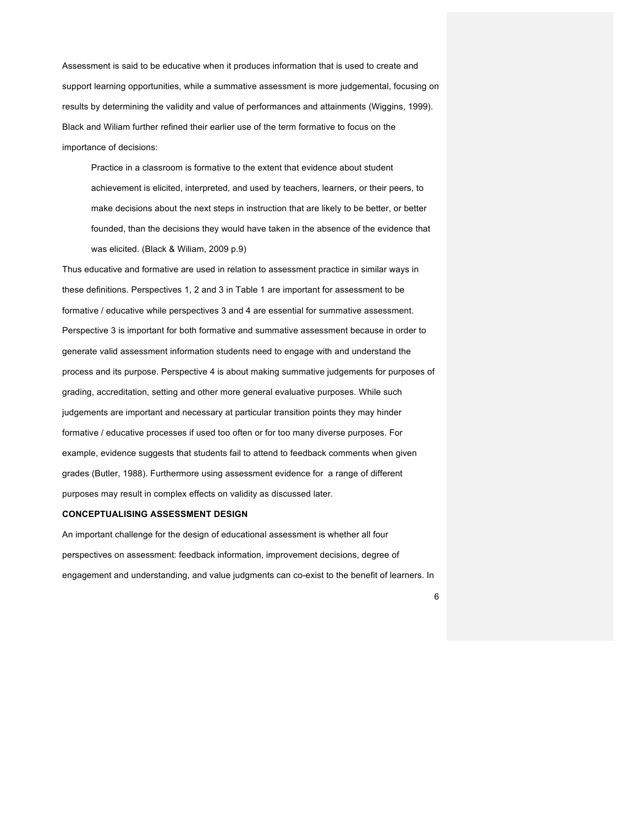Assessment is said to be educative when it produces information that is used to create and support learning opportunities, while a summative assessment is more judgemental, focusing on results by determining the validity and value of performances and attainments (Wiggins, 1999). Black and Wiliam further refined their earlier use of the term formative to focus on the importance of decisions:

Practice in a classroom is formative to the extent that evidence about student achievement is elicited, interpreted, and used by teachers, learners, or their peers, to make decisions about the next steps in instruction that are likely to be better, or better founded, than the decisions they would have taken in the absence of the evidence that was elicited. (Black & Wiliam, 2009 p.9)

Thus educative and formative are used in relation to assessment practice in similar ways in these definitions. Perspectives 1, 2 and 3 in Table 1 are important for assessment to be formative / educative while perspectives 3 and 4 are essential for summative assessment. Perspective 3 is important for both formative and summative assessment because in order to generate valid assessment information students need to engage with and understand the process and its purpose. Perspective 4 is about making summative judgements for purposes of grading, accreditation, setting and other more general evaluative purposes. While such judgements are important and necessary at particular transition points they may hinder formative / educative processes if used too often or for too many diverse purposes. For example, evidence suggests that students fail to attend to feedback comments when given grades (Butler, 1988). Furthermore using assessment evidence for a range of different purposes may result in complex effects on validity as discussed later.

### **CONCEPTUALISING ASSESSMENT DESIGN**

An important challenge for the design of educational assessment is whether all four perspectives on assessment: feedback information, improvement decisions, degree of engagement and understanding, and value judgments can co-exist to the benefit of learners. In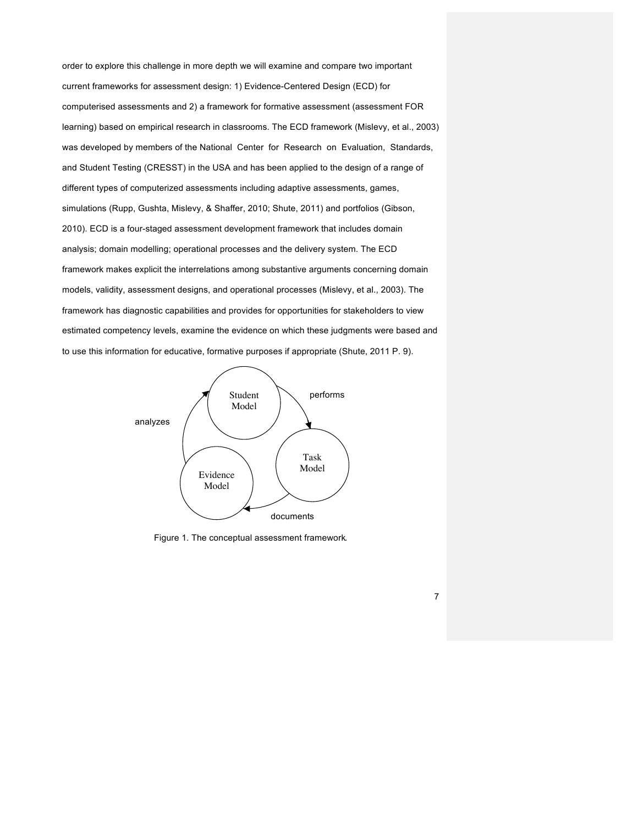order to explore this challenge in more depth we will examine and compare two important current frameworks for assessment design: 1) Evidence-Centered Design (ECD) for computerised assessments and 2) a framework for formative assessment (assessment FOR learning) based on empirical research in classrooms. The ECD framework (Mislevy, et al., 2003) was developed by members of the National Center for Research on Evaluation, Standards, and Student Testing (CRESST) in the USA and has been applied to the design of a range of different types of computerized assessments including adaptive assessments, games, simulations (Rupp, Gushta, Mislevy, & Shaffer, 2010; Shute, 2011) and portfolios (Gibson, 2010). ECD is a four-staged assessment development framework that includes domain analysis; domain modelling; operational processes and the delivery system. The ECD framework makes explicit the interrelations among substantive arguments concerning domain models, validity, assessment designs, and operational processes (Mislevy, et al., 2003). The framework has diagnostic capabilities and provides for opportunities for stakeholders to view estimated competency levels, examine the evidence on which these judgments were based and to use this information for educative, formative purposes if appropriate (Shute, 2011 P. 9).



Figure 1. The conceptual assessment framework*.*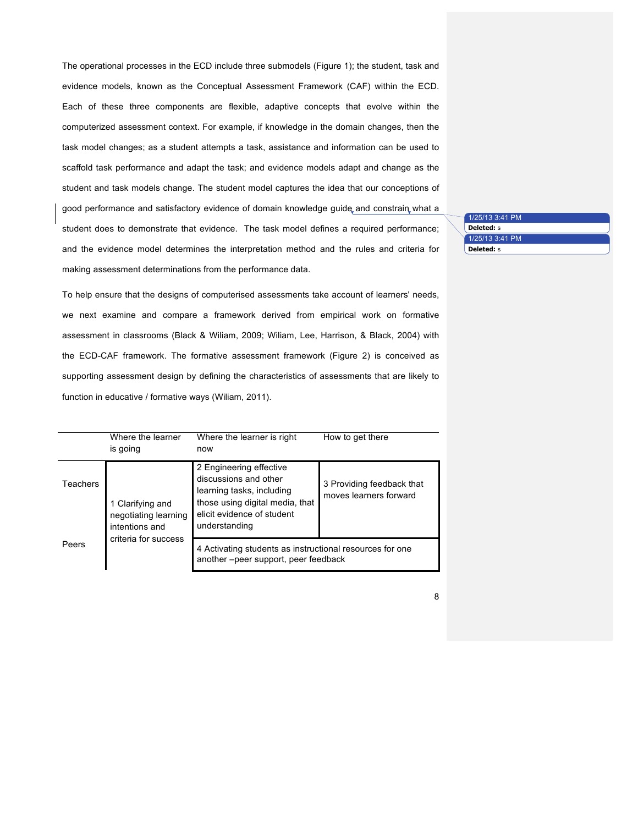The operational processes in the ECD include three submodels (Figure 1); the student, task and evidence models, known as the Conceptual Assessment Framework (CAF) within the ECD. Each of these three components are flexible, adaptive concepts that evolve within the computerized assessment context. For example, if knowledge in the domain changes, then the task model changes; as a student attempts a task, assistance and information can be used to scaffold task performance and adapt the task; and evidence models adapt and change as the student and task models change. The student model captures the idea that our conceptions of good performance and satisfactory evidence of domain knowledge guide and constrain what a student does to demonstrate that evidence. The task model defines a required performance; and the evidence model determines the interpretation method and the rules and criteria for making assessment determinations from the performance data.

1/25/13 3:41 PM **Deleted:** s 1/25/13 3:41 PM **Deleted:** s

8

To help ensure that the designs of computerised assessments take account of learners' needs, we next examine and compare a framework derived from empirical work on formative assessment in classrooms (Black & Wiliam, 2009; Wiliam, Lee, Harrison, & Black, 2004) with the ECD-CAF framework. The formative assessment framework (Figure 2) is conceived as supporting assessment design by defining the characteristics of assessments that are likely to function in educative / formative ways (Wiliam, 2011).

|                 | Where the learner<br>is going                                                      | Where the learner is right<br>now                                                                                                                               | How to get there                                    |
|-----------------|------------------------------------------------------------------------------------|-----------------------------------------------------------------------------------------------------------------------------------------------------------------|-----------------------------------------------------|
| <b>Teachers</b> | 1 Clarifying and<br>negotiating learning<br>intentions and<br>criteria for success | 2 Engineering effective<br>discussions and other<br>learning tasks, including<br>those using digital media, that<br>elicit evidence of student<br>understanding | 3 Providing feedback that<br>moves learners forward |
| Peers           |                                                                                    | 4 Activating students as instructional resources for one<br>another-peer support, peer feedback                                                                 |                                                     |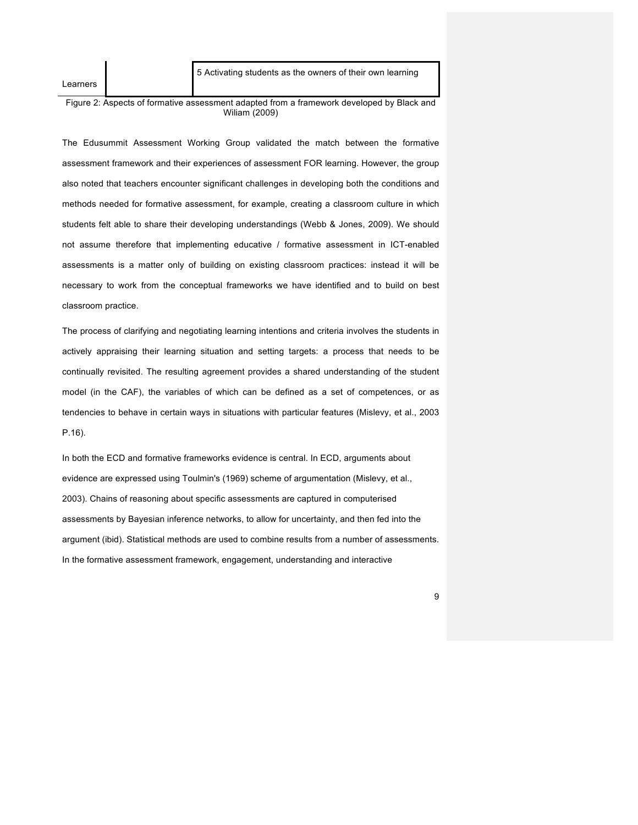Learners

5 Activating students as the owners of their own learning

Figure 2: Aspects of formative assessment adapted from a framework developed by Black and Wiliam (2009)

The Edusummit Assessment Working Group validated the match between the formative assessment framework and their experiences of assessment FOR learning. However, the group also noted that teachers encounter significant challenges in developing both the conditions and methods needed for formative assessment, for example, creating a classroom culture in which students felt able to share their developing understandings (Webb & Jones, 2009). We should not assume therefore that implementing educative / formative assessment in ICT-enabled assessments is a matter only of building on existing classroom practices: instead it will be necessary to work from the conceptual frameworks we have identified and to build on best classroom practice.

The process of clarifying and negotiating learning intentions and criteria involves the students in actively appraising their learning situation and setting targets: a process that needs to be continually revisited. The resulting agreement provides a shared understanding of the student model (in the CAF), the variables of which can be defined as a set of competences, or as tendencies to behave in certain ways in situations with particular features (Mislevy, et al., 2003 P.16).

In both the ECD and formative frameworks evidence is central. In ECD, arguments about evidence are expressed using Toulmin's (1969) scheme of argumentation (Mislevy, et al., 2003). Chains of reasoning about specific assessments are captured in computerised assessments by Bayesian inference networks, to allow for uncertainty, and then fed into the argument (ibid). Statistical methods are used to combine results from a number of assessments. In the formative assessment framework, engagement, understanding and interactive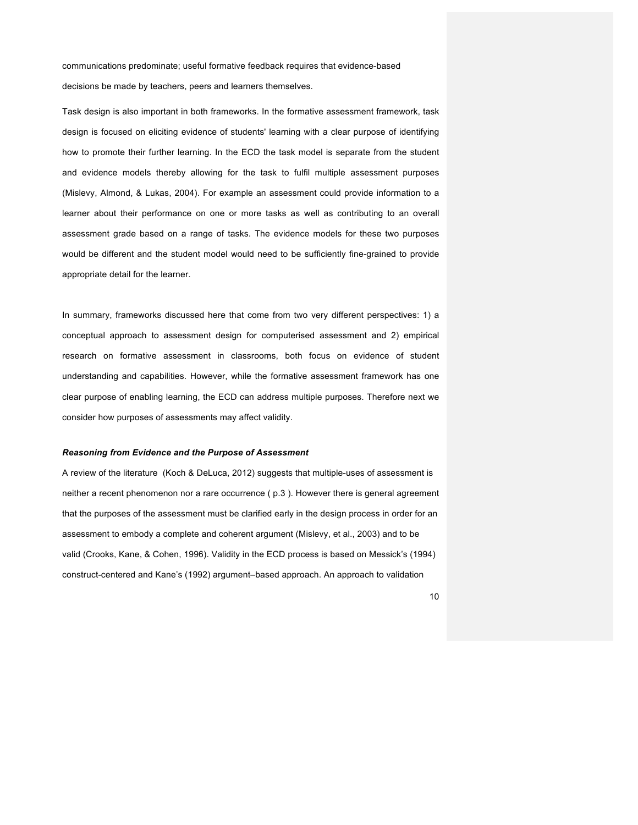communications predominate; useful formative feedback requires that evidence-based decisions be made by teachers, peers and learners themselves.

Task design is also important in both frameworks. In the formative assessment framework, task design is focused on eliciting evidence of students' learning with a clear purpose of identifying how to promote their further learning. In the ECD the task model is separate from the student and evidence models thereby allowing for the task to fulfil multiple assessment purposes (Mislevy, Almond, & Lukas, 2004). For example an assessment could provide information to a learner about their performance on one or more tasks as well as contributing to an overall assessment grade based on a range of tasks. The evidence models for these two purposes would be different and the student model would need to be sufficiently fine-grained to provide appropriate detail for the learner.

In summary, frameworks discussed here that come from two very different perspectives: 1) a conceptual approach to assessment design for computerised assessment and 2) empirical research on formative assessment in classrooms, both focus on evidence of student understanding and capabilities. However, while the formative assessment framework has one clear purpose of enabling learning, the ECD can address multiple purposes. Therefore next we consider how purposes of assessments may affect validity.

#### *Reasoning from Evidence and the Purpose of Assessment*

A review of the literature (Koch & DeLuca, 2012) suggests that multiple-uses of assessment is neither a recent phenomenon nor a rare occurrence ( p.3 ). However there is general agreement that the purposes of the assessment must be clarified early in the design process in order for an assessment to embody a complete and coherent argument (Mislevy, et al., 2003) and to be valid (Crooks, Kane, & Cohen, 1996). Validity in the ECD process is based on Messick's (1994) construct-centered and Kane's (1992) argument–based approach. An approach to validation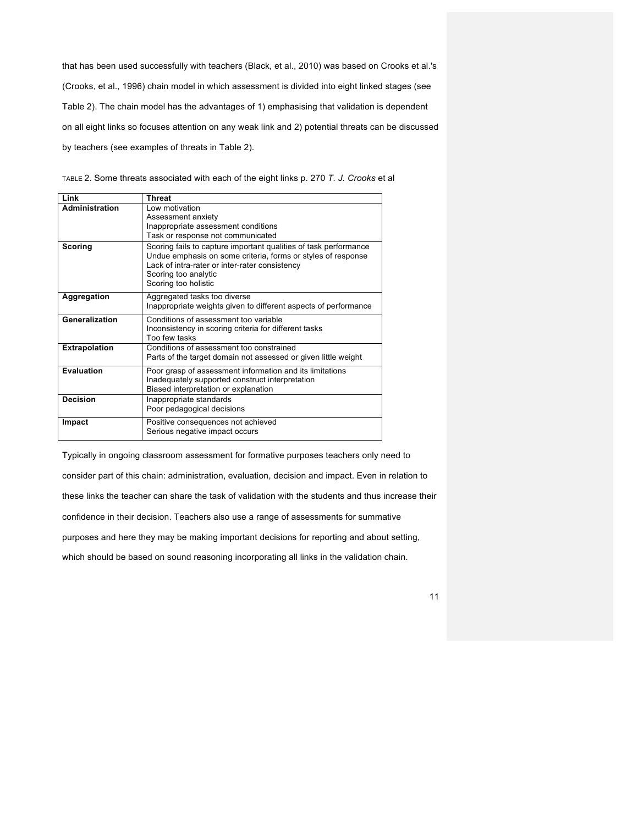that has been used successfully with teachers (Black, et al., 2010) was based on Crooks et al.'s (Crooks, et al., 1996) chain model in which assessment is divided into eight linked stages (see Table 2). The chain model has the advantages of 1) emphasising that validation is dependent on all eight links so focuses attention on any weak link and 2) potential threats can be discussed by teachers (see examples of threats in Table 2).

TABLE 2. Some threats associated with each of the eight links p. 270 *T. J. Crooks* et al

| Link                 | <b>Threat</b>                                                                                                                                                                                                                      |
|----------------------|------------------------------------------------------------------------------------------------------------------------------------------------------------------------------------------------------------------------------------|
| Administration       | Low motivation<br>Assessment anxiety<br>Inappropriate assessment conditions<br>Task or response not communicated                                                                                                                   |
| Scoring              | Scoring fails to capture important qualities of task performance<br>Undue emphasis on some criteria, forms or styles of response<br>Lack of intra-rater or inter-rater consistency<br>Scoring too analytic<br>Scoring too holistic |
| Aggregation          | Aggregated tasks too diverse<br>Inappropriate weights given to different aspects of performance                                                                                                                                    |
| Generalization       | Conditions of assessment too variable<br>Inconsistency in scoring criteria for different tasks<br>Too few tasks                                                                                                                    |
| <b>Extrapolation</b> | Conditions of assessment too constrained<br>Parts of the target domain not assessed or given little weight                                                                                                                         |
| <b>Evaluation</b>    | Poor grasp of assessment information and its limitations<br>Inadequately supported construct interpretation<br>Biased interpretation or explanation                                                                                |
| <b>Decision</b>      | Inappropriate standards<br>Poor pedagogical decisions                                                                                                                                                                              |
| Impact               | Positive consequences not achieved<br>Serious negative impact occurs                                                                                                                                                               |

Typically in ongoing classroom assessment for formative purposes teachers only need to consider part of this chain: administration, evaluation, decision and impact. Even in relation to these links the teacher can share the task of validation with the students and thus increase their confidence in their decision. Teachers also use a range of assessments for summative purposes and here they may be making important decisions for reporting and about setting, which should be based on sound reasoning incorporating all links in the validation chain.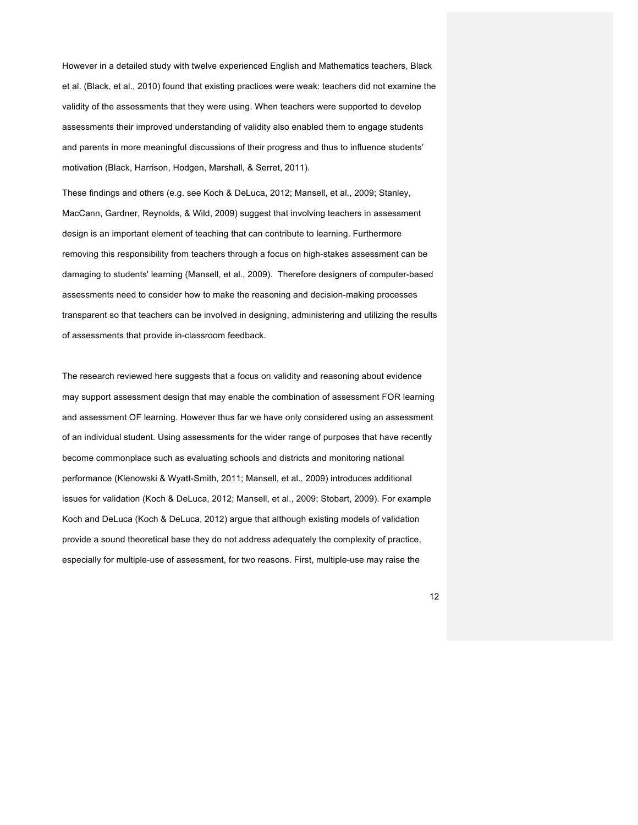However in a detailed study with twelve experienced English and Mathematics teachers, Black et al. (Black, et al., 2010) found that existing practices were weak: teachers did not examine the validity of the assessments that they were using. When teachers were supported to develop assessments their improved understanding of validity also enabled them to engage students and parents in more meaningful discussions of their progress and thus to influence students' motivation (Black, Harrison, Hodgen, Marshall, & Serret, 2011).

These findings and others (e.g. see Koch & DeLuca, 2012; Mansell, et al., 2009; Stanley, MacCann, Gardner, Reynolds, & Wild, 2009) suggest that involving teachers in assessment design is an important element of teaching that can contribute to learning. Furthermore removing this responsibility from teachers through a focus on high-stakes assessment can be damaging to students' learning (Mansell, et al., 2009). Therefore designers of computer-based assessments need to consider how to make the reasoning and decision-making processes transparent so that teachers can be invoIved in designing, administering and utilizing the results of assessments that provide in-classroom feedback.

The research reviewed here suggests that a focus on validity and reasoning about evidence may support assessment design that may enable the combination of assessment FOR learning and assessment OF learning. However thus far we have only considered using an assessment of an individual student. Using assessments for the wider range of purposes that have recently become commonplace such as evaluating schools and districts and monitoring national performance (Klenowski & Wyatt-Smith, 2011; Mansell, et al., 2009) introduces additional issues for validation (Koch & DeLuca, 2012; Mansell, et al., 2009; Stobart, 2009). For example Koch and DeLuca (Koch & DeLuca, 2012) argue that although existing models of validation provide a sound theoretical base they do not address adequately the complexity of practice, especially for multiple-use of assessment, for two reasons. First, multiple-use may raise the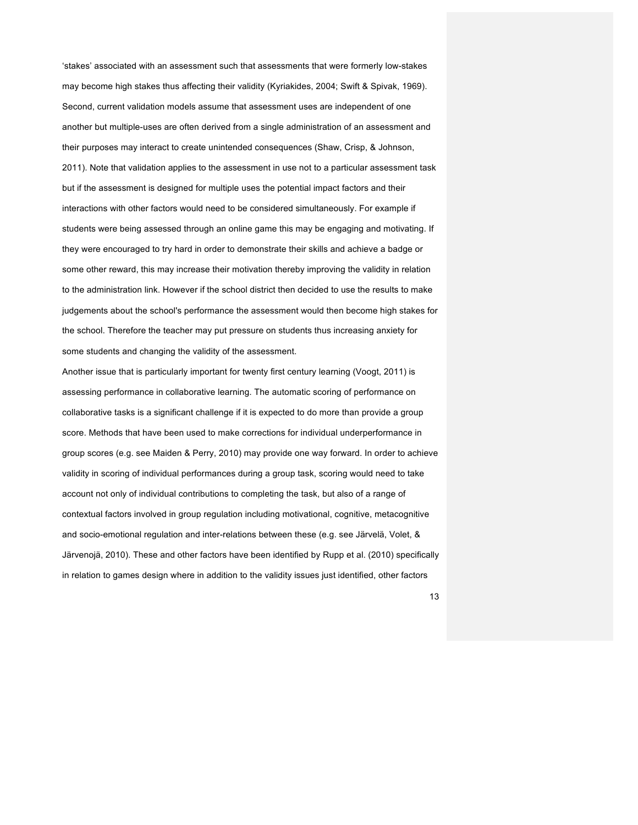'stakes' associated with an assessment such that assessments that were formerly low-stakes may become high stakes thus affecting their validity (Kyriakides, 2004; Swift & Spivak, 1969). Second, current validation models assume that assessment uses are independent of one another but multiple-uses are often derived from a single administration of an assessment and their purposes may interact to create unintended consequences (Shaw, Crisp, & Johnson, 2011). Note that validation applies to the assessment in use not to a particular assessment task but if the assessment is designed for multiple uses the potential impact factors and their interactions with other factors would need to be considered simultaneously. For example if students were being assessed through an online game this may be engaging and motivating. If they were encouraged to try hard in order to demonstrate their skills and achieve a badge or some other reward, this may increase their motivation thereby improving the validity in relation to the administration link. However if the school district then decided to use the results to make judgements about the school's performance the assessment would then become high stakes for the school. Therefore the teacher may put pressure on students thus increasing anxiety for some students and changing the validity of the assessment.

Another issue that is particularly important for twenty first century learning (Voogt, 2011) is assessing performance in collaborative learning. The automatic scoring of performance on collaborative tasks is a significant challenge if it is expected to do more than provide a group score. Methods that have been used to make corrections for individual underperformance in group scores (e.g. see Maiden & Perry, 2010) may provide one way forward. In order to achieve validity in scoring of individual performances during a group task, scoring would need to take account not only of individual contributions to completing the task, but also of a range of contextual factors involved in group regulation including motivational, cognitive, metacognitive and socio-emotional regulation and inter-relations between these (e.g. see Järvelä, Volet, & Järvenojä, 2010). These and other factors have been identified by Rupp et al. (2010) specifically in relation to games design where in addition to the validity issues just identified, other factors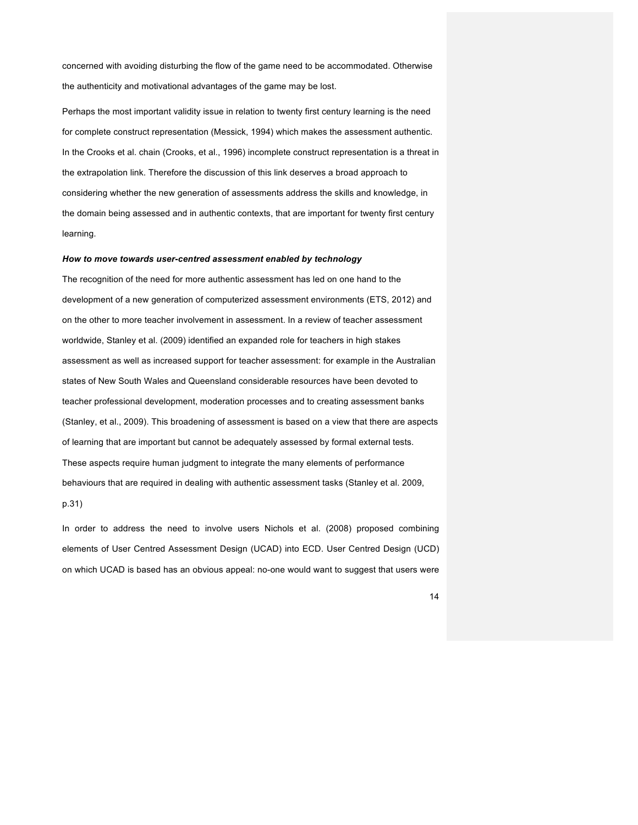concerned with avoiding disturbing the flow of the game need to be accommodated. Otherwise the authenticity and motivational advantages of the game may be lost.

Perhaps the most important validity issue in relation to twenty first century learning is the need for complete construct representation (Messick, 1994) which makes the assessment authentic. In the Crooks et al. chain (Crooks, et al., 1996) incomplete construct representation is a threat in the extrapolation link. Therefore the discussion of this link deserves a broad approach to considering whether the new generation of assessments address the skills and knowledge, in the domain being assessed and in authentic contexts, that are important for twenty first century learning.

#### *How to move towards user-centred assessment enabled by technology*

The recognition of the need for more authentic assessment has led on one hand to the development of a new generation of computerized assessment environments (ETS, 2012) and on the other to more teacher involvement in assessment. In a review of teacher assessment worldwide, Stanley et al. (2009) identified an expanded role for teachers in high stakes assessment as well as increased support for teacher assessment: for example in the Australian states of New South Wales and Queensland considerable resources have been devoted to teacher professional development, moderation processes and to creating assessment banks (Stanley, et al., 2009). This broadening of assessment is based on a view that there are aspects of learning that are important but cannot be adequately assessed by formal external tests. These aspects require human judgment to integrate the many elements of performance behaviours that are required in dealing with authentic assessment tasks (Stanley et al. 2009,

p.31)

In order to address the need to involve users Nichols et al. (2008) proposed combining elements of User Centred Assessment Design (UCAD) into ECD. User Centred Design (UCD) on which UCAD is based has an obvious appeal: no-one would want to suggest that users were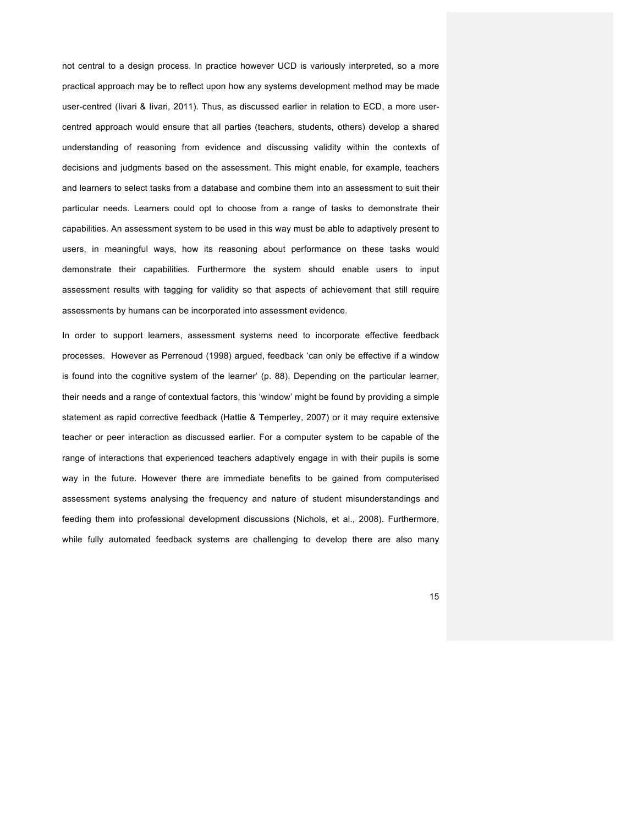not central to a design process. In practice however UCD is variously interpreted, so a more practical approach may be to reflect upon how any systems development method may be made user-centred (Iivari & Iivari, 2011). Thus, as discussed earlier in relation to ECD, a more usercentred approach would ensure that all parties (teachers, students, others) develop a shared understanding of reasoning from evidence and discussing validity within the contexts of decisions and judgments based on the assessment. This might enable, for example, teachers and learners to select tasks from a database and combine them into an assessment to suit their particular needs. Learners could opt to choose from a range of tasks to demonstrate their capabilities. An assessment system to be used in this way must be able to adaptively present to users, in meaningful ways, how its reasoning about performance on these tasks would demonstrate their capabilities. Furthermore the system should enable users to input assessment results with tagging for validity so that aspects of achievement that still require assessments by humans can be incorporated into assessment evidence.

In order to support learners, assessment systems need to incorporate effective feedback processes. However as Perrenoud (1998) argued, feedback 'can only be effective if a window is found into the cognitive system of the learner' (p. 88). Depending on the particular learner, their needs and a range of contextual factors, this 'window' might be found by providing a simple statement as rapid corrective feedback (Hattie & Temperley, 2007) or it may require extensive teacher or peer interaction as discussed earlier. For a computer system to be capable of the range of interactions that experienced teachers adaptively engage in with their pupils is some way in the future. However there are immediate benefits to be gained from computerised assessment systems analysing the frequency and nature of student misunderstandings and feeding them into professional development discussions (Nichols, et al., 2008). Furthermore, while fully automated feedback systems are challenging to develop there are also many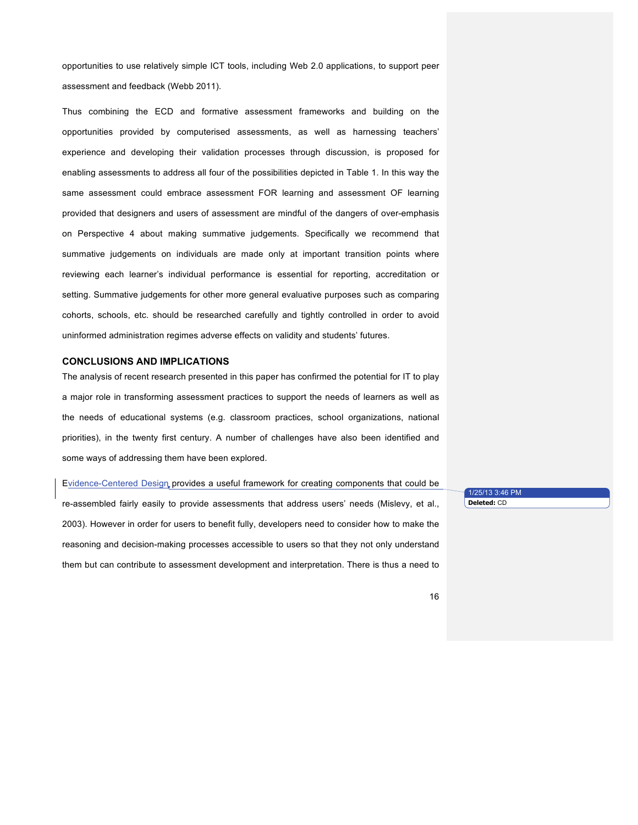opportunities to use relatively simple ICT tools, including Web 2.0 applications, to support peer assessment and feedback (Webb 2011).

Thus combining the ECD and formative assessment frameworks and building on the opportunities provided by computerised assessments, as well as harnessing teachers' experience and developing their validation processes through discussion, is proposed for enabling assessments to address all four of the possibilities depicted in Table 1. In this way the same assessment could embrace assessment FOR learning and assessment OF learning provided that designers and users of assessment are mindful of the dangers of over-emphasis on Perspective 4 about making summative judgements. Specifically we recommend that summative judgements on individuals are made only at important transition points where reviewing each learner's individual performance is essential for reporting, accreditation or setting. Summative judgements for other more general evaluative purposes such as comparing cohorts, schools, etc. should be researched carefully and tightly controlled in order to avoid uninformed administration regimes adverse effects on validity and students' futures.

# **CONCLUSIONS AND IMPLICATIONS**

The analysis of recent research presented in this paper has confirmed the potential for IT to play a major role in transforming assessment practices to support the needs of learners as well as the needs of educational systems (e.g. classroom practices, school organizations, national priorities), in the twenty first century. A number of challenges have also been identified and some ways of addressing them have been explored.

Evidence-Centered Design provides a useful framework for creating components that could be re-assembled fairly easily to provide assessments that address users' needs (Mislevy, et al., 2003). However in order for users to benefit fully, developers need to consider how to make the reasoning and decision-making processes accessible to users so that they not only understand them but can contribute to assessment development and interpretation. There is thus a need to

1/25/13 3:46 PM **Deleted:** CD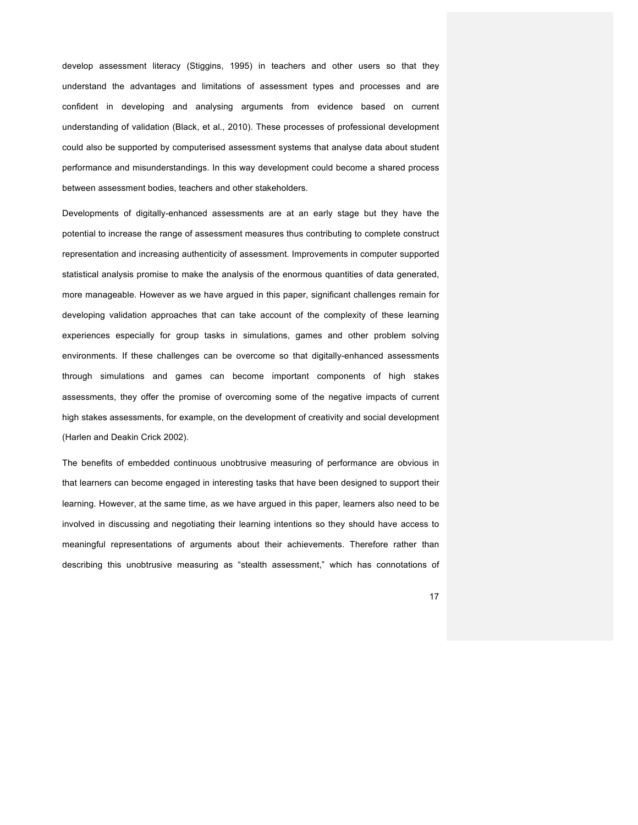develop assessment literacy (Stiggins, 1995) in teachers and other users so that they understand the advantages and limitations of assessment types and processes and are confident in developing and analysing arguments from evidence based on current understanding of validation (Black, et al., 2010). These processes of professional development could also be supported by computerised assessment systems that analyse data about student performance and misunderstandings. In this way development could become a shared process between assessment bodies, teachers and other stakeholders.

Developments of digitally-enhanced assessments are at an early stage but they have the potential to increase the range of assessment measures thus contributing to complete construct representation and increasing authenticity of assessment. Improvements in computer supported statistical analysis promise to make the analysis of the enormous quantities of data generated, more manageable. However as we have argued in this paper, significant challenges remain for developing validation approaches that can take account of the complexity of these learning experiences especially for group tasks in simulations, games and other problem solving environments. If these challenges can be overcome so that digitally-enhanced assessments through simulations and games can become important components of high stakes assessments, they offer the promise of overcoming some of the negative impacts of current high stakes assessments, for example, on the development of creativity and social development (Harlen and Deakin Crick 2002).

The benefits of embedded continuous unobtrusive measuring of performance are obvious in that learners can become engaged in interesting tasks that have been designed to support their learning. However, at the same time, as we have argued in this paper, learners also need to be involved in discussing and negotiating their learning intentions so they should have access to meaningful representations of arguments about their achievements. Therefore rather than describing this unobtrusive measuring as "stealth assessment," which has connotations of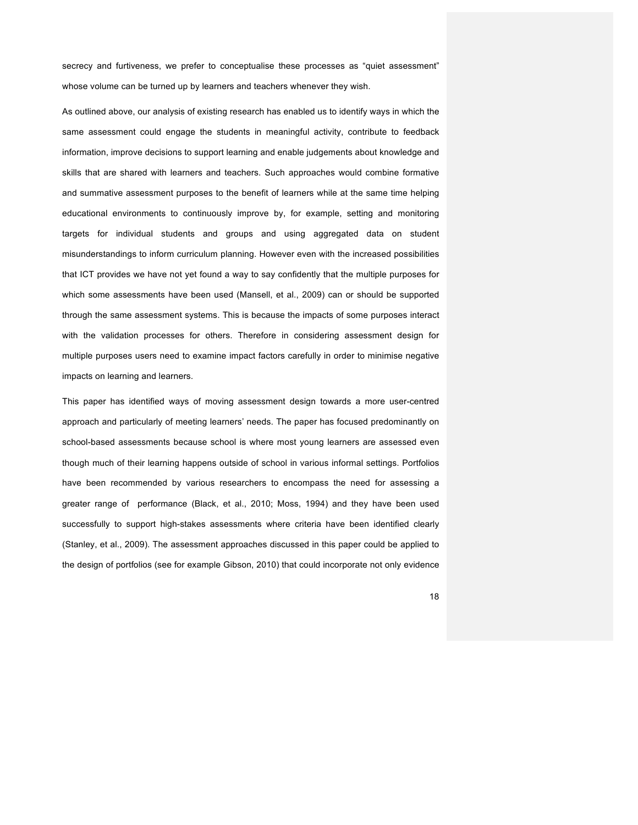secrecy and furtiveness, we prefer to conceptualise these processes as "quiet assessment" whose volume can be turned up by learners and teachers whenever they wish.

As outlined above, our analysis of existing research has enabled us to identify ways in which the same assessment could engage the students in meaningful activity, contribute to feedback information, improve decisions to support learning and enable judgements about knowledge and skills that are shared with learners and teachers. Such approaches would combine formative and summative assessment purposes to the benefit of learners while at the same time helping educational environments to continuously improve by, for example, setting and monitoring targets for individual students and groups and using aggregated data on student misunderstandings to inform curriculum planning. However even with the increased possibilities that ICT provides we have not yet found a way to say confidently that the multiple purposes for which some assessments have been used (Mansell, et al., 2009) can or should be supported through the same assessment systems. This is because the impacts of some purposes interact with the validation processes for others. Therefore in considering assessment design for multiple purposes users need to examine impact factors carefully in order to minimise negative impacts on learning and learners.

This paper has identified ways of moving assessment design towards a more user-centred approach and particularly of meeting learners' needs. The paper has focused predominantly on school-based assessments because school is where most young learners are assessed even though much of their learning happens outside of school in various informal settings. Portfolios have been recommended by various researchers to encompass the need for assessing a greater range of performance (Black, et al., 2010; Moss, 1994) and they have been used successfully to support high-stakes assessments where criteria have been identified clearly (Stanley, et al., 2009). The assessment approaches discussed in this paper could be applied to the design of portfolios (see for example Gibson, 2010) that could incorporate not only evidence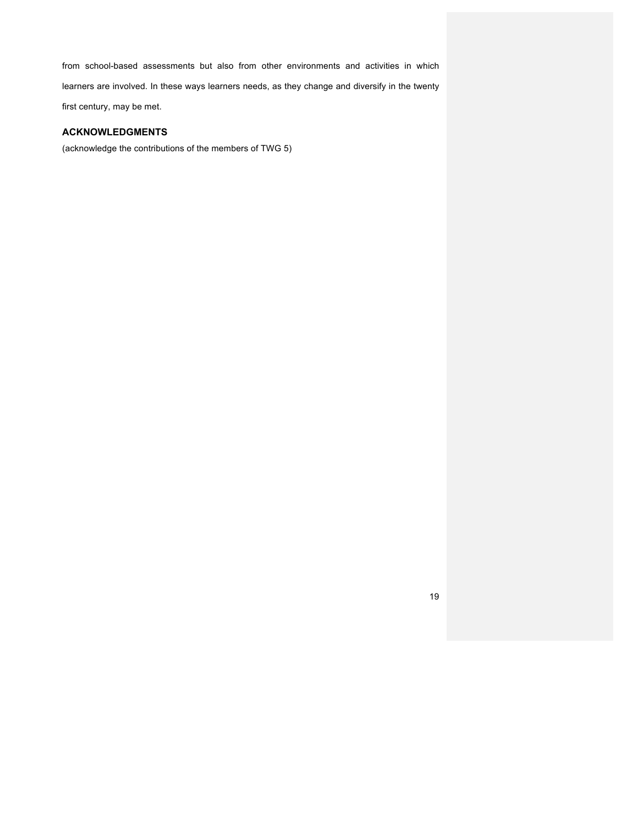from school-based assessments but also from other environments and activities in which learners are involved. In these ways learners needs, as they change and diversify in the twenty first century, may be met.

# **ACKNOWLEDGMENTS**

(acknowledge the contributions of the members of TWG 5)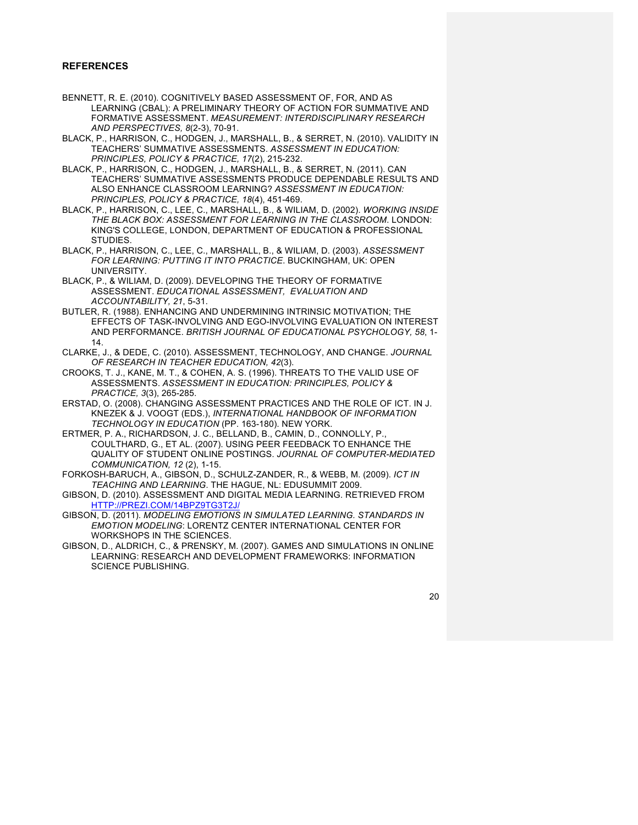# **REFERENCES**

- BENNETT, R. E. (2010). COGNITIVELY BASED ASSESSMENT OF, FOR, AND AS LEARNING (CBAL): A PRELIMINARY THEORY OF ACTION FOR SUMMATIVE AND FORMATIVE ASSESSMENT. *MEASUREMENT: INTERDISCIPLINARY RESEARCH AND PERSPECTIVES, 8*(2-3), 70-91.
- BLACK, P., HARRISON, C., HODGEN, J., MARSHALL, B., & SERRET, N. (2010). VALIDITY IN TEACHERS' SUMMATIVE ASSESSMENTS. *ASSESSMENT IN EDUCATION: PRINCIPLES, POLICY & PRACTICE, 17*(2), 215-232.
- BLACK, P., HARRISON, C., HODGEN, J., MARSHALL, B., & SERRET, N. (2011). CAN TEACHERS' SUMMATIVE ASSESSMENTS PRODUCE DEPENDABLE RESULTS AND ALSO ENHANCE CLASSROOM LEARNING? *ASSESSMENT IN EDUCATION: PRINCIPLES, POLICY & PRACTICE, 18*(4), 451-469.
- BLACK, P., HARRISON, C., LEE, C., MARSHALL, B., & WILIAM, D. (2002). *WORKING INSIDE THE BLACK BOX: ASSESSMENT FOR LEARNING IN THE CLASSROOM*. LONDON: KING'S COLLEGE, LONDON, DEPARTMENT OF EDUCATION & PROFESSIONAL STUDIES.
- BLACK, P., HARRISON, C., LEE, C., MARSHALL, B., & WILIAM, D. (2003). *ASSESSMENT FOR LEARNING: PUTTING IT INTO PRACTICE*. BUCKINGHAM, UK: OPEN UNIVERSITY.
- BLACK, P., & WILIAM, D. (2009). DEVELOPING THE THEORY OF FORMATIVE ASSESSMENT. *EDUCATIONAL ASSESSMENT, EVALUATION AND ACCOUNTABILITY, 21*, 5-31.
- BUTLER, R. (1988). ENHANCING AND UNDERMINING INTRINSIC MOTIVATION; THE EFFECTS OF TASK-INVOLVING AND EGO-INVOLVING EVALUATION ON INTEREST AND PERFORMANCE. *BRITISH JOURNAL OF EDUCATIONAL PSYCHOLOGY, 58*, 1- 14.
- CLARKE, J., & DEDE, C. (2010). ASSESSMENT, TECHNOLOGY, AND CHANGE. *JOURNAL OF RESEARCH IN TEACHER EDUCATION, 42*(3).
- CROOKS, T. J., KANE, M. T., & COHEN, A. S. (1996). THREATS TO THE VALID USE OF ASSESSMENTS. *ASSESSMENT IN EDUCATION: PRINCIPLES, POLICY & PRACTICE, 3*(3), 265-285.
- ERSTAD, O. (2008). CHANGING ASSESSMENT PRACTICES AND THE ROLE OF ICT. IN J. KNEZEK & J. VOOGT (EDS.), *INTERNATIONAL HANDBOOK OF INFORMATION TECHNOLOGY IN EDUCATION* (PP. 163-180). NEW YORK.
- ERTMER, P. A., RICHARDSON, J. C., BELLAND, B., CAMIN, D., CONNOLLY, P., COULTHARD, G., ET AL. (2007). USING PEER FEEDBACK TO ENHANCE THE QUALITY OF STUDENT ONLINE POSTINGS. *JOURNAL OF COMPUTER-MEDIATED COMMUNICATION, 12* (2), 1-15.
- FORKOSH-BARUCH, A., GIBSON, D., SCHULZ-ZANDER, R., & WEBB, M. (2009). *ICT IN TEACHING AND LEARNING*. THE HAGUE, NL: EDUSUMMIT 2009.
- GIBSON, D. (2010). ASSESSMENT AND DIGITAL MEDIA LEARNING. RETRIEVED FROM HTTP://PREZI.COM/14BPZ9TG3T2J/
- GIBSON, D. (2011). *MODELING EMOTIONS IN SIMULATED LEARNING. STANDARDS IN EMOTION MODELING*: LORENTZ CENTER INTERNATIONAL CENTER FOR WORKSHOPS IN THE SCIENCES.
- GIBSON, D., ALDRICH, C., & PRENSKY, M. (2007). GAMES AND SIMULATIONS IN ONLINE LEARNING: RESEARCH AND DEVELOPMENT FRAMEWORKS: INFORMATION SCIENCE PUBLISHING.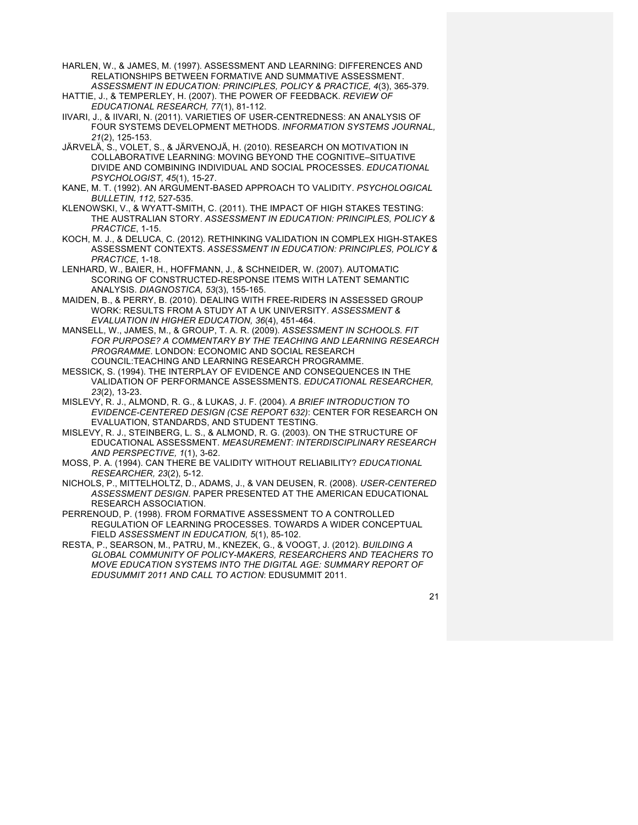- HARLEN, W., & JAMES, M. (1997). ASSESSMENT AND LEARNING: DIFFERENCES AND RELATIONSHIPS BETWEEN FORMATIVE AND SUMMATIVE ASSESSMENT.
- *ASSESSMENT IN EDUCATION: PRINCIPLES, POLICY & PRACTICE, 4*(3), 365-379. HATTIE, J., & TEMPERLEY, H. (2007). THE POWER OF FEEDBACK. *REVIEW OF EDUCATIONAL RESEARCH, 77*(1), 81-112.
- IIVARI, J., & IIVARI, N. (2011). VARIETIES OF USER-CENTREDNESS: AN ANALYSIS OF FOUR SYSTEMS DEVELOPMENT METHODS. *INFORMATION SYSTEMS JOURNAL, 21*(2), 125-153.
- JÄRVELÄ, S., VOLET, S., & JÄRVENOJÄ, H. (2010). RESEARCH ON MOTIVATION IN COLLABORATIVE LEARNING: MOVING BEYOND THE COGNITIVE–SITUATIVE DIVIDE AND COMBINING INDIVIDUAL AND SOCIAL PROCESSES. *EDUCATIONAL PSYCHOLOGIST, 45*(1), 15-27.
- KANE, M. T. (1992). AN ARGUMENT-BASED APPROACH TO VALIDITY. *PSYCHOLOGICAL BULLETIN, 112*, 527-535.
- KLENOWSKI, V., & WYATT-SMITH, C. (2011). THE IMPACT OF HIGH STAKES TESTING: THE AUSTRALIAN STORY. *ASSESSMENT IN EDUCATION: PRINCIPLES, POLICY & PRACTICE*, 1-15.
- KOCH, M. J., & DELUCA, C. (2012). RETHINKING VALIDATION IN COMPLEX HIGH-STAKES ASSESSMENT CONTEXTS. *ASSESSMENT IN EDUCATION: PRINCIPLES, POLICY & PRACTICE*, 1-18.
- LENHARD, W., BAIER, H., HOFFMANN, J., & SCHNEIDER, W. (2007). AUTOMATIC SCORING OF CONSTRUCTED-RESPONSE ITEMS WITH LATENT SEMANTIC ANALYSIS. *DIAGNOSTICA, 53*(3), 155-165.
- MAIDEN, B., & PERRY, B. (2010). DEALING WITH FREE-RIDERS IN ASSESSED GROUP WORK: RESULTS FROM A STUDY AT A UK UNIVERSITY. *ASSESSMENT & EVALUATION IN HIGHER EDUCATION, 36*(4), 451-464.
- MANSELL, W., JAMES, M., & GROUP, T. A. R. (2009). *ASSESSMENT IN SCHOOLS. FIT FOR PURPOSE? A COMMENTARY BY THE TEACHING AND LEARNING RESEARCH PROGRAMME*. LONDON: ECONOMIC AND SOCIAL RESEARCH COUNCIL:TEACHING AND LEARNING RESEARCH PROGRAMME.
- MESSICK, S. (1994). THE INTERPLAY OF EVIDENCE AND CONSEQUENCES IN THE VALIDATION OF PERFORMANCE ASSESSMENTS. *EDUCATIONAL RESEARCHER, 23*(2), 13-23.
- MISLEVY, R. J., ALMOND, R. G., & LUKAS, J. F. (2004). *A BRIEF INTRODUCTION TO EVIDENCE-CENTERED DESIGN (CSE REPORT 632)*: CENTER FOR RESEARCH ON EVALUATION, STANDARDS, AND STUDENT TESTING.
- MISLEVY, R. J., STEINBERG, L. S., & ALMOND, R. G. (2003). ON THE STRUCTURE OF EDUCATIONAL ASSESSMENT. *MEASUREMENT: INTERDISCIPLINARY RESEARCH AND PERSPECTIVE, 1*(1), 3-62.
- MOSS, P. A. (1994). CAN THERE BE VALIDITY WITHOUT RELIABILITY? *EDUCATIONAL RESEARCHER, 23*(2), 5-12.
- NICHOLS, P., MITTELHOLTZ, D., ADAMS, J., & VAN DEUSEN, R. (2008). *USER-CENTERED ASSESSMENT DESIGN*. PAPER PRESENTED AT THE AMERICAN EDUCATIONAL RESEARCH ASSOCIATION.
- PERRENOUD, P. (1998). FROM FORMATIVE ASSESSMENT TO A CONTROLLED REGULATION OF LEARNING PROCESSES. TOWARDS A WIDER CONCEPTUAL FIELD *ASSESSMENT IN EDUCATION, 5*(1), 85-102.
- RESTA, P., SEARSON, M., PATRU, M., KNEZEK, G., & VOOGT, J. (2012). *BUILDING A GLOBAL COMMUNITY OF POLICY-MAKERS, RESEARCHERS AND TEACHERS TO MOVE EDUCATION SYSTEMS INTO THE DIGITAL AGE: SUMMARY REPORT OF EDUSUMMIT 2011 AND CALL TO ACTION*: EDUSUMMIT 2011.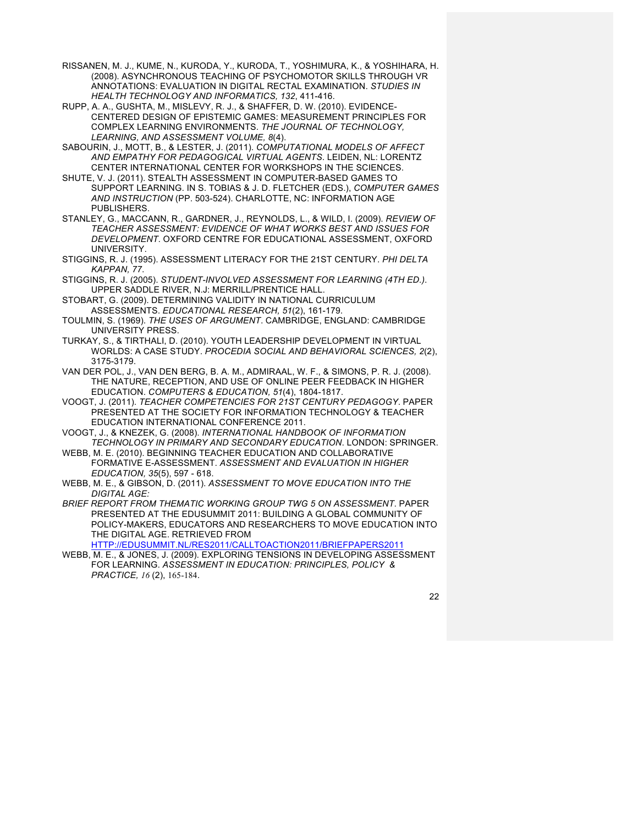- RISSANEN, M. J., KUME, N., KURODA, Y., KURODA, T., YOSHIMURA, K., & YOSHIHARA, H. (2008). ASYNCHRONOUS TEACHING OF PSYCHOMOTOR SKILLS THROUGH VR ANNOTATIONS: EVALUATION IN DIGITAL RECTAL EXAMINATION. *STUDIES IN HEALTH TECHNOLOGY AND INFORMATICS, 132*, 411-416.
- RUPP, A. A., GUSHTA, M., MISLEVY, R. J., & SHAFFER, D. W. (2010). EVIDENCE-CENTERED DESIGN OF EPISTEMIC GAMES: MEASUREMENT PRINCIPLES FOR COMPLEX LEARNING ENVIRONMENTS. *THE JOURNAL OF TECHNOLOGY, LEARNING, AND ASSESSMENT VOLUME, 8*(4).
- SABOURIN, J., MOTT, B., & LESTER, J. (2011). *COMPUTATIONAL MODELS OF AFFECT AND EMPATHY FOR PEDAGOGICAL VIRTUAL AGENTS*. LEIDEN, NL: LORENTZ CENTER INTERNATIONAL CENTER FOR WORKSHOPS IN THE SCIENCES.
- SHUTE, V. J. (2011). STEALTH ASSESSMENT IN COMPUTER-BASED GAMES TO SUPPORT LEARNING. IN S. TOBIAS & J. D. FLETCHER (EDS.), *COMPUTER GAMES AND INSTRUCTION* (PP. 503-524). CHARLOTTE, NC: INFORMATION AGE PUBLISHERS.
- STANLEY, G., MACCANN, R., GARDNER, J., REYNOLDS, L., & WILD, I. (2009). *REVIEW OF TEACHER ASSESSMENT: EVIDENCE OF WHAT WORKS BEST AND ISSUES FOR DEVELOPMENT*. OXFORD CENTRE FOR EDUCATIONAL ASSESSMENT, OXFORD UNIVERSITY.
- STIGGINS, R. J. (1995). ASSESSMENT LITERACY FOR THE 21ST CENTURY. *PHI DELTA KAPPAN, 77*.
- STIGGINS, R. J. (2005). *STUDENT-INVOLVED ASSESSMENT FOR LEARNING (4TH ED.)*. UPPER SADDLE RIVER, N.J: MERRILL/PRENTICE HALL.
- STOBART, G. (2009). DETERMINING VALIDITY IN NATIONAL CURRICULUM ASSESSMENTS. *EDUCATIONAL RESEARCH, 51*(2), 161-179.
- TOULMIN, S. (1969). *THE USES OF ARGUMENT*. CAMBRIDGE, ENGLAND: CAMBRIDGE UNIVERSITY PRESS.
- TURKAY, S., & TIRTHALI, D. (2010). YOUTH LEADERSHIP DEVELOPMENT IN VIRTUAL WORLDS: A CASE STUDY. *PROCEDIA SOCIAL AND BEHAVIORAL SCIENCES, 2*(2), 3175-3179.
- VAN DER POL, J., VAN DEN BERG, B. A. M., ADMIRAAL, W. F., & SIMONS, P. R. J. (2008). THE NATURE, RECEPTION, AND USE OF ONLINE PEER FEEDBACK IN HIGHER EDUCATION. *COMPUTERS & EDUCATION, 51*(4), 1804-1817.
- VOOGT, J. (2011). *TEACHER COMPETENCIES FOR 21ST CENTURY PEDAGOGY*. PAPER PRESENTED AT THE SOCIETY FOR INFORMATION TECHNOLOGY & TEACHER EDUCATION INTERNATIONAL CONFERENCE 2011.
- VOOGT, J., & KNEZEK, G. (2008). *INTERNATIONAL HANDBOOK OF INFORMATION TECHNOLOGY IN PRIMARY AND SECONDARY EDUCATION*. LONDON: SPRINGER.
- WEBB, M. E. (2010). BEGINNING TEACHER EDUCATION AND COLLABORATIVE FORMATIVE E-ASSESSMENT. *ASSESSMENT AND EVALUATION IN HIGHER EDUCATION, 35*(5), 597 - 618.
- WEBB, M. E., & GIBSON, D. (2011). *ASSESSMENT TO MOVE EDUCATION INTO THE DIGITAL AGE:*
- *BRIEF REPORT FROM THEMATIC WORKING GROUP TWG 5 ON ASSESSMENT*. PAPER PRESENTED AT THE EDUSUMMIT 2011: BUILDING A GLOBAL COMMUNITY OF POLICY-MAKERS, EDUCATORS AND RESEARCHERS TO MOVE EDUCATION INTO THE DIGITAL AGE. RETRIEVED FROM
	- HTTP://EDUSUMMIT.NL/RES2011/CALLTOACTION2011/BRIEFPAPERS2011
- WEBB, M. E., & JONES, J. (2009). EXPLORING TENSIONS IN DEVELOPING ASSESSMENT FOR LEARNING. *ASSESSMENT IN EDUCATION: PRINCIPLES, POLICY & PRACTICE, 16* (2), 165-184.